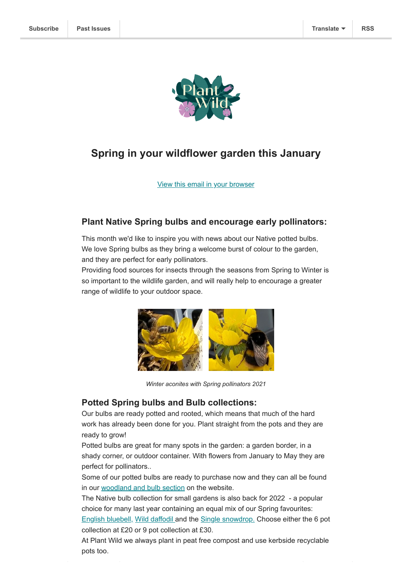

# **Spring in your wildflower garden this January**

[View this email in your browser](https://mailchi.mp/10becf024e73/plant-wild-january-newsletter-2022?e=[UNIQID])

#### **Plant Native Spring bulbs and encourage early pollinators:**

This month we'd like to inspire you with news about our Native potted bulbs. We love Spring bulbs as they bring a welcome burst of colour to the garden, and they are perfect for early pollinators.

Providing food sources for insects through the seasons from Spring to Winter is so important to the wildlife garden, and will really help to encourage a greater range of wildlife to your outdoor space.



*Winter aconites with Spring pollinators 2021*

#### **Potted Spring bulbs and Bulb collections:**

Our bulbs are ready potted and rooted, which means that much of the hard work has already been done for you. Plant straight from the pots and they are ready to grow!

Potted bulbs are great for many spots in the garden: a garden border, in a shady corner, or outdoor container. With flowers from January to May they are perfect for pollinators..

Some of our potted bulbs are ready to purchase now and they can all be found in our [woodland and bulb section](https://www.plantwild.co.uk/product-category/woodland-and-shade-wildflowers/) on the website.

The Native bulb collection for small gardens is also back for 2022 - a popular choice for many last year containing an equal mix of our Spring favourites:

[English bluebell,](https://www.plantwild.co.uk/product/english-bluebell/) [Wild daffodil](https://www.plantwild.co.uk/product/wild-daffodil/) and the [Single snowdrop.](https://www.plantwild.co.uk/product/snowdrop/) Choose either the 6 pot collection at £20 or 9 pot collection at £30.

At Plant Wild we always plant in peat free compost and use kerbside recyclable pots too.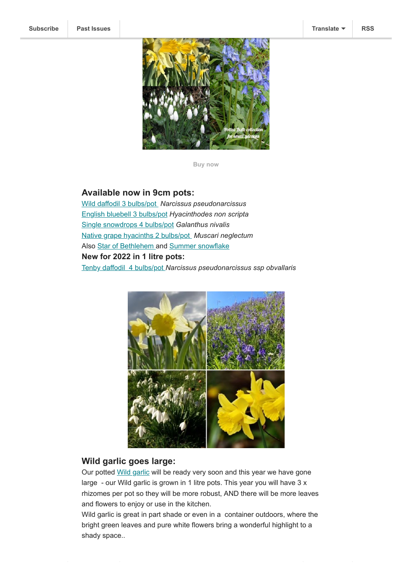

**[Buy now](https://www.plantwild.co.uk/product-category/woodland-and-shade-wildflowers/)**

## **Available now in 9cm pots:**

[Wild daffodil 3 bulbs/pot](https://www.plantwild.co.uk/product/wild-daffodil/) *Narcissus pseudonarcissus* [English bluebell 3 bulbs/pot](https://www.plantwild.co.uk/product/english-bluebell/) *Hyacinthodes non scripta* [Single snowdrops 4 bulbs/pot](https://www.plantwild.co.uk/product/snowdrop/) *Galanthus nivalis* [Native grape hyacinths 2 bulbs/pot](https://www.plantwild.co.uk/product/grape-hyacinth/) *Muscari neglectum* Also [Star of Bethlehem](https://www.plantwild.co.uk/product/star-of-bethlehem/) and [Summer snowflake](http://hhttps//www.plantwild.co.uk/product/summer-snowflake/) **New for 2022 in 1 litre pots:** [Tenby daffodil](https://www.plantwild.co.uk/product/tenby-daffodil/) 4 bulbs/pot *Narcissus pseudonarcissus ssp obvallaris*



### **Wild garlic goes large:**

Our potted [Wild garlic](https://www.plantwild.co.uk/product/wild-garlic-ramsons/) will be ready very soon and this year we have gone large - our Wild garlic is grown in 1 litre pots. This year you will have 3 x rhizomes per pot so they will be more robust, AND there will be more leaves and flowers to enjoy or use in the kitchen.

Wild garlic is great in part shade or even in a container outdoors, where the bright green leaves and pure white flowers bring a wonderful highlight to a shady space..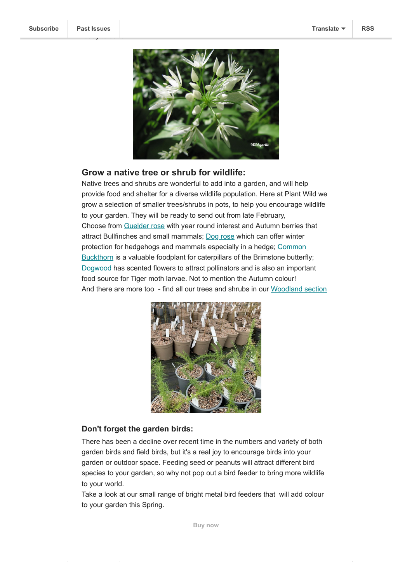ready to send.



### **Grow a native tree or shrub for wildlife:**

Native trees and shrubs are wonderful to add into a garden, and will help provide food and shelter for a diverse wildlife population. Here at Plant Wild we grow a selection of smaller trees/shrubs in pots, to help you encourage wildlife to your garden. They will be ready to send out from late February, Choose from [Guelder rose](https://www.plantwild.co.uk/product/guelder-rose/) with year round interest and Autumn berries that attract Bullfinches and small mammals; [Dog rose](https://www.plantwild.co.uk/product/dog-rose/) which can offer winter [protection for hedgehogs and mammals especially in a hedge;](https://www.plantwild.co.uk/product/common-buckthorn/) Common Buckthorn is a valuable foodplant for caterpillars of the Brimstone butterfly; [Dogwood](https://www.plantwild.co.uk/product/dogwood/) has scented flowers to attract pollinators and is also an important food source for Tiger moth larvae. Not to mention the Autumn colour! And there are more too - find all our trees and shrubs in our [Woodland section](https://www.plantwild.co.uk/product-category/woodland-and-shade-wildflowers/)



#### **Don't forget the garden birds:**

There has been a decline over recent time in the numbers and variety of both garden birds and field birds, but it's a real joy to encourage birds into your garden or outdoor space. Feeding seed or peanuts will attract different bird species to your garden, so why not pop out a bird feeder to bring more wildlife to your world.

Take a look at our small range of bright metal bird feeders that will add colour to your garden this Spring.

**[Buy now](https://www.plantwild.co.uk/product-category/gifts/)**